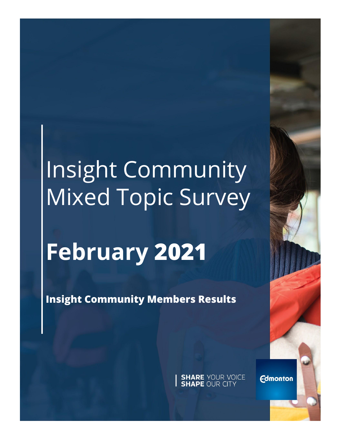# Insight Community Mixed Topic Survey

# **February 2021**

**Insight Community Members Results**

**SHARE YOUR VOICE**<br>**SHAPE OUR CITY** 

**Edmonton**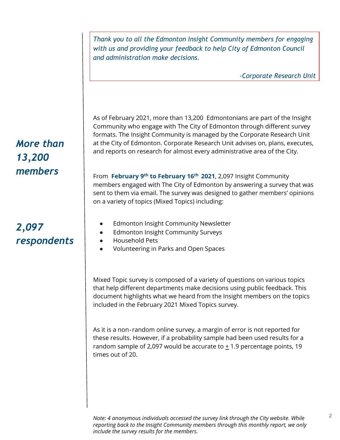*Thank you to all the Edmonton Insight Community members for engaging with us and providing your feedback to help City of Edmonton Council and administration make decisions.* 

*-Corporate Research Unit*

As of February 2021, more than 13,200 Edmontonians are part of the Insight Community who engage with The City of Edmonton through different survey formats. The Insight Community is managed by the Corporate Research Unit at the City of Edmonton. Corporate Research Unit advises on, plans, executes, and reports on research for almost every administrative area of the City.

From **February 9th to February 16th 2021**, 2,097 Insight Community members engaged with The City of Edmonton by answering a survey that was sent to them via email. The survey was designed to gather members' opinions on a variety of topics (Mixed Topics) including:

- **Edmonton Insight Community Newsletter**
- Edmonton Insight Community Surveys
- Household Pets
- Volunteering in Parks and Open Spaces

Mixed Topic survey is composed of a variety of questions on various topics that help different departments make decisions using public feedback. This document highlights what we heard from the Insight members on the topics included in the February 2021 Mixed Topics survey.

As it is a non‐random online survey, a margin of error is not reported for these results. However, if a probability sample had been used results for a random sample of 2,097 would be accurate to  $\pm$  1.9 percentage points, 19 times out of 20.

# *More than 13,200 members*

# *2,097 respondents*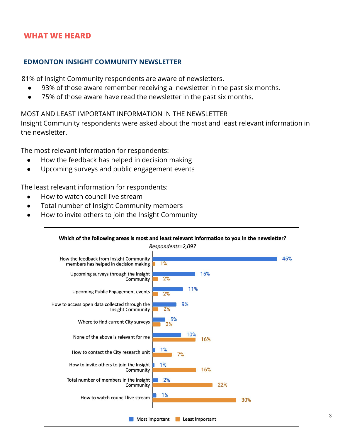#### **EDMONTON INSIGHT COMMUNITY NEWSLETTER**

81% of Insight Community respondents are aware of newsletters.

- 93% of those aware remember receiving a newsletter in the past six months.
- 75% of those aware have read the newsletter in the past six months.

#### MOST AND LEAST IMPORTANT INFORMATION IN THE NEWSLETTER

Insight Community respondents were asked about the most and least relevant information in the newsletter.

The most relevant information for respondents:

- How the feedback has helped in decision making
- Upcoming surveys and public engagement events

The least relevant information for respondents:

- How to watch council live stream
- Total number of Insight Community members
- How to invite others to join the Insight Community

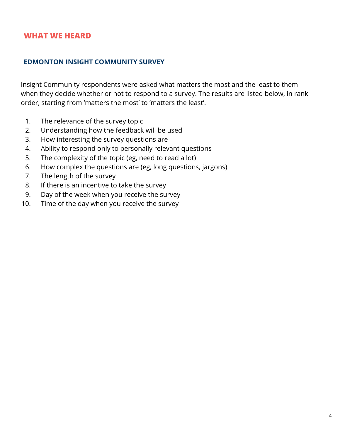#### **EDMONTON INSIGHT COMMUNITY SURVEY**

Insight Community respondents were asked what matters the most and the least to them when they decide whether or not to respond to a survey. The results are listed below, in rank order, starting from 'matters the most' to 'matters the least'.

- 1. The relevance of the survey topic
- 2. Understanding how the feedback will be used
- 3. How interesting the survey questions are
- 4. Ability to respond only to personally relevant questions
- 5. The complexity of the topic (eg, need to read a lot)
- 6. How complex the questions are (eg, long questions, jargons)
- 7. The length of the survey
- 8. If there is an incentive to take the survey
- 9. Day of the week when you receive the survey
- 10. Time of the day when you receive the survey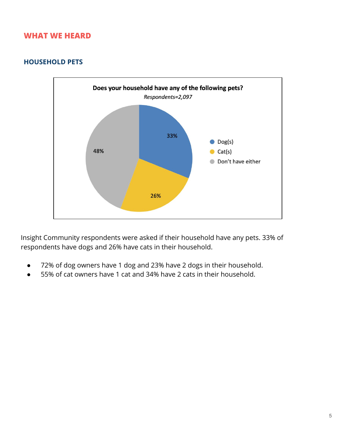#### **HOUSEHOLD PETS**



Insight Community respondents were asked if their household have any pets. 33% of respondents have dogs and 26% have cats in their household.

- 72% of dog owners have 1 dog and 23% have 2 dogs in their household.
- 55% of cat owners have 1 cat and 34% have 2 cats in their household.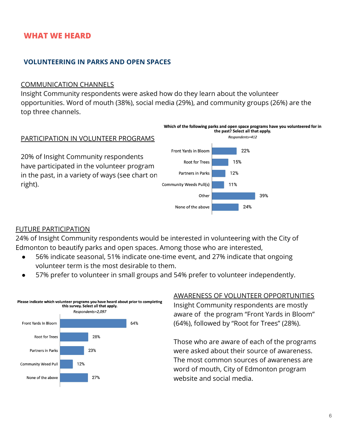#### **VOLUNTEERING IN PARKS AND OPEN SPACES**

#### COMMUNICATION CHANNELS

Insight Community respondents were asked how do they learn about the volunteer opportunities. Word of mouth (38%), social media (29%), and community groups (26%) are the top three channels.



#### FUTURE PARTICIPATION

24% of Insight Community respondents would be interested in volunteering with the City of Edmonton to beautify parks and open spaces. Among those who are interested,

- 56% indicate seasonal, 51% indicate one-time event, and 27% indicate that ongoing volunteer term is the most desirable to them.
- 57% prefer to volunteer in small groups and 54% prefer to volunteer independently.



#### AWARENESS OF VOLUNTEER OPPORTUNITIES

Insight Community respondents are mostly aware of the program "Front Yards in Bloom" (64%), followed by "Root for Trees" (28%).

Those who are aware of each of the programs were asked about their source of awareness. The most common sources of awareness are word of mouth, City of Edmonton program website and social media.